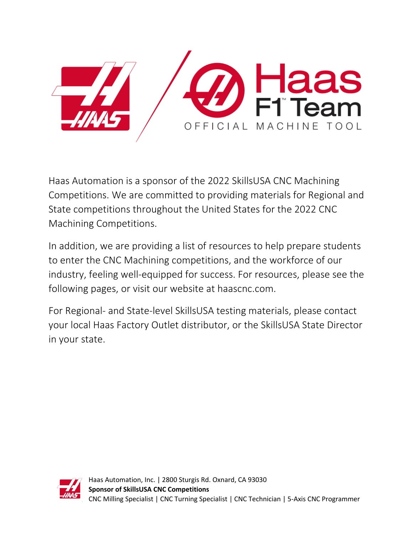

Haas Automation is a sponsor of the 2022 SkillsUSA CNC Machining Competitions. We are committed to providing materials for Regional and State competitions throughout the United States for the 2022 CNC Machining Competitions.

In addition, we are providing a list of resources to help prepare students to enter the CNC Machining competitions, and the workforce of our industry, feeling well-equipped for success. For resources, please see the following pages, or visit our website at haascnc.com.

For Regional- and State-level SkillsUSA testing materials, please contact your local Haas Factory Outlet distributor, or the SkillsUSA State Director in your state.

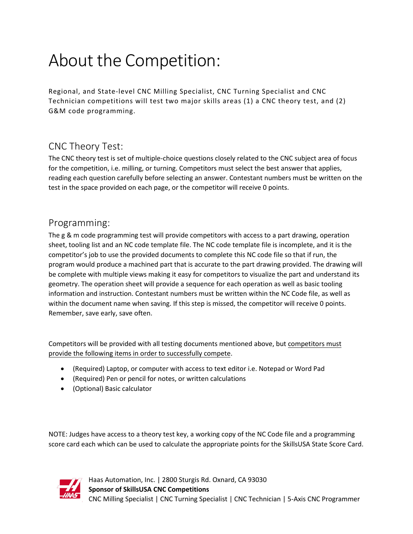# About the Competition:

Regional, and State-level CNC Milling Specialist, CNC Turning Specialist and CNC Technician competitions will test two major skills areas (1) a CNC theory test, and (2) G&M code programming.

## CNC Theory Test:

The CNC theory test is set of multiple-choice questions closely related to the CNC subject area of focus for the competition, i.e. milling, or turning. Competitors must select the best answer that applies, reading each question carefully before selecting an answer. Contestant numbers must be written on the test in the space provided on each page, or the competitor will receive 0 points.

#### Programming:

The g & m code programming test will provide competitors with access to a part drawing, operation sheet, tooling list and an NC code template file. The NC code template file is incomplete, and it is the competitor's job to use the provided documents to complete this NC code file so that if run, the program would produce a machined part that is accurate to the part drawing provided. The drawing will be complete with multiple views making it easy for competitors to visualize the part and understand its geometry. The operation sheet will provide a sequence for each operation as well as basic tooling information and instruction. Contestant numbers must be written within the NC Code file, as well as within the document name when saving. If this step is missed, the competitor will receive 0 points. Remember, save early, save often.

Competitors will be provided with all testing documents mentioned above, but competitors must provide the following items in order to successfully compete.

- (Required) Laptop, or computer with access to text editor i.e. Notepad or Word Pad
- (Required) Pen or pencil for notes, or written calculations
- (Optional) Basic calculator

NOTE: Judges have access to a theory test key, a working copy of the NC Code file and a programming score card each which can be used to calculate the appropriate points for the SkillsUSA State Score Card.



Haas Automation, Inc. | 2800 Sturgis Rd. Oxnard, CA 93030 **Sponsor of SkillsUSA CNC Competitions** CNC Milling Specialist | CNC Turning Specialist | CNC Technician | 5-Axis CNC Programmer